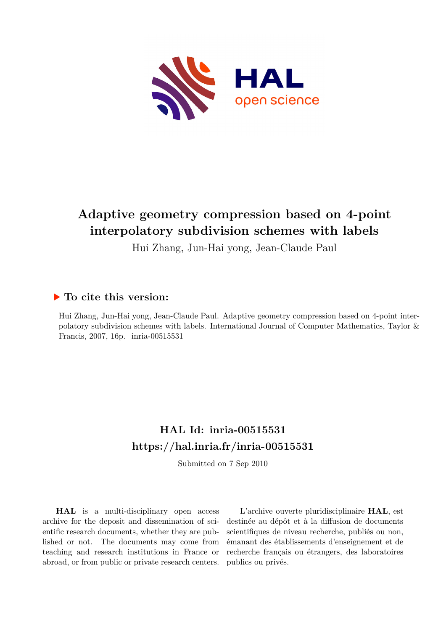

# **Adaptive geometry compression based on 4-point interpolatory subdivision schemes with labels**

Hui Zhang, Jun-Hai yong, Jean-Claude Paul

## **To cite this version:**

Hui Zhang, Jun-Hai yong, Jean-Claude Paul. Adaptive geometry compression based on 4-point interpolatory subdivision schemes with labels. International Journal of Computer Mathematics, Taylor & Francis, 2007, 16p. inria-00515531

# **HAL Id: inria-00515531 <https://hal.inria.fr/inria-00515531>**

Submitted on 7 Sep 2010

**HAL** is a multi-disciplinary open access archive for the deposit and dissemination of scientific research documents, whether they are published or not. The documents may come from teaching and research institutions in France or abroad, or from public or private research centers.

L'archive ouverte pluridisciplinaire **HAL**, est destinée au dépôt et à la diffusion de documents scientifiques de niveau recherche, publiés ou non, émanant des établissements d'enseignement et de recherche français ou étrangers, des laboratoires publics ou privés.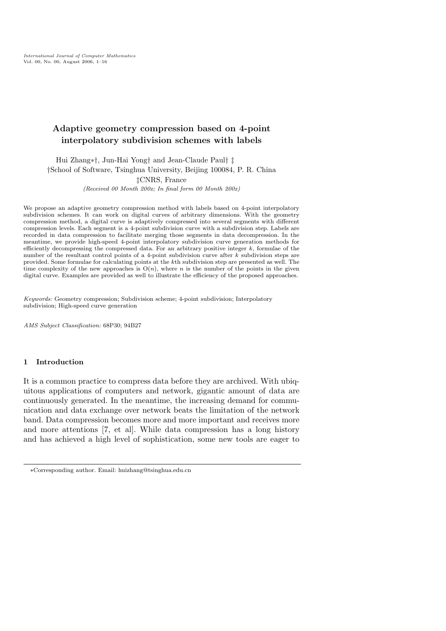International Journal of Computer Mathematics Vol. 00, No. 00, August 2006, 1–16

## Adaptive geometry compression based on 4-point interpolatory subdivision schemes with labels

Hui Zhang∗†, Jun-Hai Yong† and Jean-Claude Paul† ‡ †School of Software, Tsinghua University, Beijing 100084, P. R. China ‡CNRS, France (Received 00 Month 200x; In final form 00 Month 200x)

We propose an adaptive geometry compression method with labels based on 4-point interpolatory subdivision schemes. It can work on digital curves of arbitrary dimensions. With the geometry compression method, a digital curve is adaptively compressed into several segments with different compression levels. Each segment is a 4-point subdivision curve with a subdivision step. Labels are recorded in data compression to facilitate merging those segments in data decompression. In the meantime, we provide high-speed 4-point interpolatory subdivision curve generation methods for efficiently decompressing the compressed data. For an arbitrary positive integer k, formulae of the number of the resultant control points of a 4-point subdivision curve after  $k$  subdivision steps are provided. Some formulae for calculating points at the kth subdivision step are presented as well. The time complexity of the new approaches is  $O(n)$ , where n is the number of the points in the given digital curve. Examples are provided as well to illustrate the efficiency of the proposed approaches.

Keywords: Geometry compression; Subdivision scheme; 4-point subdivision; Interpolatory subdivision; High-speed curve generation

AMS Subject Classification: 68P30; 94B27

#### 1 Introduction

It is a common practice to compress data before they are archived. With ubiquitous applications of computers and network, gigantic amount of data are continuously generated. In the meantime, the increasing demand for communication and data exchange over network beats the limitation of the network band. Data compression becomes more and more important and receives more and more attentions [7, et al]. While data compression has a long history and has achieved a high level of sophistication, some new tools are eager to

<sup>∗</sup>Corresponding author. Email: huizhang@tsinghua.edu.cn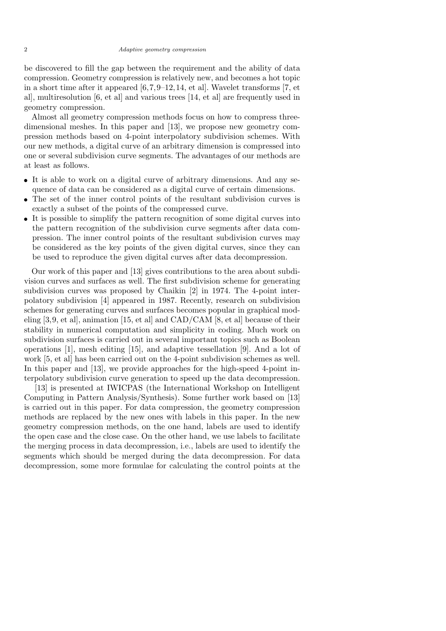be discovered to fill the gap between the requirement and the ability of data compression. Geometry compression is relatively new, and becomes a hot topic in a short time after it appeared  $[6,7,9-12,14, et al]$ . Wavelet transforms [7, et al], multiresolution [6, et al] and various trees [14, et al] are frequently used in geometry compression.

Almost all geometry compression methods focus on how to compress threedimensional meshes. In this paper and [13], we propose new geometry compression methods based on 4-point interpolatory subdivision schemes. With our new methods, a digital curve of an arbitrary dimension is compressed into one or several subdivision curve segments. The advantages of our methods are at least as follows.

- It is able to work on a digital curve of arbitrary dimensions. And any sequence of data can be considered as a digital curve of certain dimensions.
- The set of the inner control points of the resultant subdivision curves is exactly a subset of the points of the compressed curve.
- It is possible to simplify the pattern recognition of some digital curves into the pattern recognition of the subdivision curve segments after data compression. The inner control points of the resultant subdivision curves may be considered as the key points of the given digital curves, since they can be used to reproduce the given digital curves after data decompression.

Our work of this paper and [13] gives contributions to the area about subdivision curves and surfaces as well. The first subdivision scheme for generating subdivision curves was proposed by Chaikin [2] in 1974. The 4-point interpolatory subdivision [4] appeared in 1987. Recently, research on subdivision schemes for generating curves and surfaces becomes popular in graphical modeling [3,9, et al], animation [15, et al] and CAD/CAM [8, et al] because of their stability in numerical computation and simplicity in coding. Much work on subdivision surfaces is carried out in several important topics such as Boolean operations [1], mesh editing [15], and adaptive tessellation [9]. And a lot of work [5, et al] has been carried out on the 4-point subdivision schemes as well. In this paper and [13], we provide approaches for the high-speed 4-point interpolatory subdivision curve generation to speed up the data decompression.

[13] is presented at IWICPAS (the International Workshop on Intelligent Computing in Pattern Analysis/Synthesis). Some further work based on [13] is carried out in this paper. For data compression, the geometry compression methods are replaced by the new ones with labels in this paper. In the new geometry compression methods, on the one hand, labels are used to identify the open case and the close case. On the other hand, we use labels to facilitate the merging process in data decompression, i.e., labels are used to identify the segments which should be merged during the data decompression. For data decompression, some more formulae for calculating the control points at the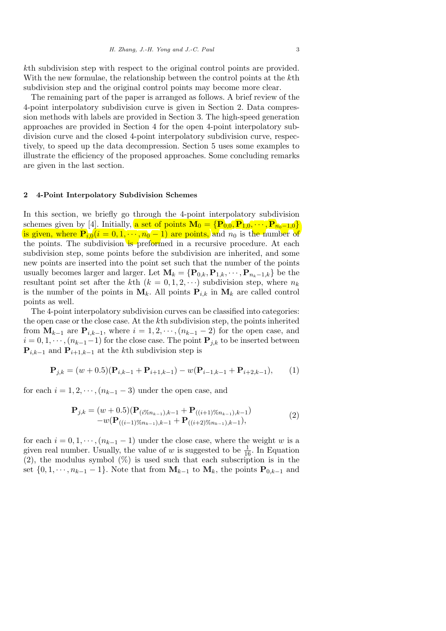kth subdivision step with respect to the original control points are provided. With the new formulae, the relationship between the control points at the kth subdivision step and the original control points may become more clear.

The remaining part of the paper is arranged as follows. A brief review of the 4-point interpolatory subdivision curve is given in Section 2. Data compression methods with labels are provided in Section 3. The high-speed generation approaches are provided in Section 4 for the open 4-point interpolatory subdivision curve and the closed 4-point interpolatory subdivision curve, respectively, to speed up the data decompression. Section 5 uses some examples to illustrate the efficiency of the proposed approaches. Some concluding remarks are given in the last section.

#### 2 4-Point Interpolatory Subdivision Schemes

In this section, we briefly go through the 4-point interpolatory subdivision schemes given by [4]. Initially, a set of points  $\mathbf{M}_0 = {\mathbf{P}_{0,0}, \mathbf{P}_{1,0}, \cdots, \mathbf{P}_{n_0-1,0}}$ is given, where  $P_{i,0}(i=0,1,\dots,n_0-1)$  are points, and  $n_0$  is the number of the points. The subdivision is preformed in a recursive procedure. At each subdivision step, some points before the subdivision are inherited, and some new points are inserted into the point set such that the number of the points usually becomes larger and larger. Let  $\mathbf{M}_k = {\mathbf{P}_{0,k}, \mathbf{P}_{1,k}, \cdots, \mathbf{P}_{n_k-1,k}}$  be the resultant point set after the kth  $(k = 0, 1, 2, \cdots)$  subdivision step, where  $n_k$ is the number of the points in  $M_k$ . All points  $P_{i,k}$  in  $M_k$  are called control points as well.

The 4-point interpolatory subdivision curves can be classified into categories: the open case or the close case. At the kth subdivision step, the points inherited from  $M_{k-1}$  are  $P_{i,k-1}$ , where  $i = 1, 2, \dots, (n_{k-1} - 2)$  for the open case, and  $i = 0, 1, \dots, (n_{k-1}-1)$  for the close case. The point  ${\bf P}_{j,k}$  to be inserted between  ${\bf P}_{i,k-1}$  and  ${\bf P}_{i+1,k-1}$  at the kth subdivision step is

$$
\mathbf{P}_{j,k} = (w+0.5)(\mathbf{P}_{i,k-1} + \mathbf{P}_{i+1,k-1}) - w(\mathbf{P}_{i-1,k-1} + \mathbf{P}_{i+2,k-1}),
$$
 (1)

for each  $i = 1, 2, \dots, (n_{k-1} - 3)$  under the open case, and

$$
\mathbf{P}_{j,k} = (w+0.5)(\mathbf{P}_{(i\%n_{k-1}),k-1} + \mathbf{P}_{((i+1)\%n_{k-1}),k-1})
$$
  
-w(\mathbf{P}\_{((i-1)\%n\_{k-1}),k-1} + \mathbf{P}\_{((i+2)\%n\_{k-1}),k-1}), (2)

for each  $i = 0, 1, \dots, (n_{k-1} - 1)$  under the close case, where the weight w is a given real number. Usually, the value of w is suggested to be  $\frac{1}{16}$ . In Equation  $(2)$ , the modulus symbol  $(\%)$  is used such that each subscription is in the set  $\{0, 1, \dots, n_{k-1} - 1\}$ . Note that from  $M_{k-1}$  to  $M_k$ , the points  $P_{0,k-1}$  and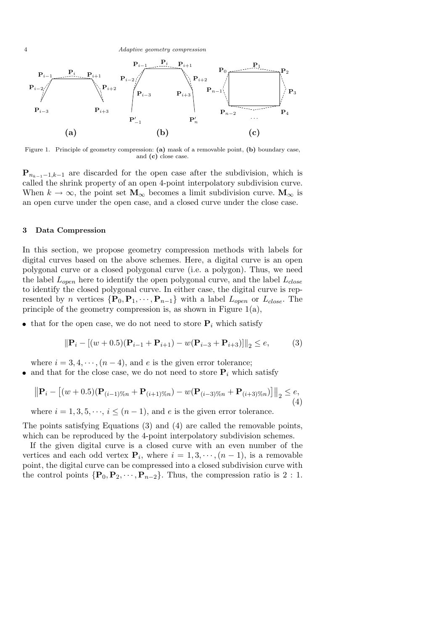

Figure 1. Principle of geometry compression: (a) mask of a removable point, (b) boundary case, and (c) close case.

 ${\bf P}_{n_{k-1}-1,k-1}$  are discarded for the open case after the subdivision, which is called the shrink property of an open 4-point interpolatory subdivision curve. When  $k \to \infty$ , the point set  $M_{\infty}$  becomes a limit subdivision curve.  $M_{\infty}$  is an open curve under the open case, and a closed curve under the close case.

#### 3 Data Compression

In this section, we propose geometry compression methods with labels for digital curves based on the above schemes. Here, a digital curve is an open polygonal curve or a closed polygonal curve (i.e. a polygon). Thus, we need the label  $L_{open}$  here to identify the open polygonal curve, and the label  $L_{close}$ to identify the closed polygonal curve. In either case, the digital curve is represented by n vertices  $\{P_0, P_1, \cdots, P_{n-1}\}$  with a label  $L_{open}$  or  $L_{close}$ . The principle of the geometry compression is, as shown in Figure 1(a),

• that for the open case, we do not need to store  $P_i$  which satisfy

$$
\|\mathbf{P}_{i} - [(w+0.5)(\mathbf{P}_{i-1} + \mathbf{P}_{i+1}) - w(\mathbf{P}_{i-3} + \mathbf{P}_{i+3})]\|_{2} \leq e,
$$
 (3)

where  $i = 3, 4, \dots, (n-4)$ , and e is the given error tolerance;

and that for the close case, we do not need to store  $P_i$  which satisfy

$$
\left\| \mathbf{P}_{i} - \left[ (w+0.5)(\mathbf{P}_{(i-1)\%n} + \mathbf{P}_{(i+1)\%n}) - w(\mathbf{P}_{(i-3)\%n} + \mathbf{P}_{(i+3)\%n}) \right] \right\|_{2} \leq e,
$$
\n(4)

where  $i = 1, 3, 5, \dots$ ,  $i \leq (n-1)$ , and e is the given error tolerance.

The points satisfying Equations (3) and (4) are called the removable points, which can be reproduced by the 4-point interpolatory subdivision schemes.

If the given digital curve is a closed curve with an even number of the vertices and each odd vertex  $P_i$ , where  $i = 1, 3, \dots, (n-1)$ , is a removable point, the digital curve can be compressed into a closed subdivision curve with the control points  $\{P_0, P_2, \dots, P_{n-2}\}$ . Thus, the compression ratio is 2 : 1.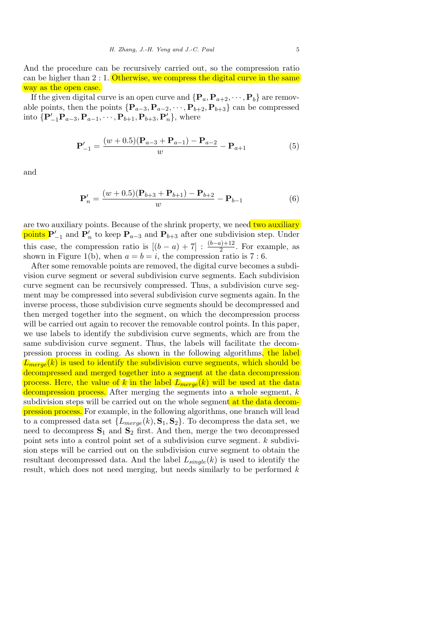And the procedure can be recursively carried out, so the compression ratio can be higher than  $2:1$ . Otherwise, we compress the digital curve in the same way as the open case.

If the given digital curve is an open curve and  $\{P_a, P_{a+2}, \cdots, P_b\}$  are removable points, then the points  $\{P_{a-3}, P_{a-2}, \cdots, P_{b+2}, P_{b+3}\}$  can be compressed into  $\{ {\bf P}_{-1}'{\bf P}_{a-3}, {\bf P}_{a-1}, \cdots, {\bf P}_{b+1}, {\bf P}_{b+3}, {\bf P}'_n \}$ , where

$$
\mathbf{P}'_{-1} = \frac{(w+0.5)(\mathbf{P}_{a-3} + \mathbf{P}_{a-1}) - \mathbf{P}_{a-2}}{w} - \mathbf{P}_{a+1}
$$
(5)

and

$$
\mathbf{P}'_n = \frac{(w+0.5)(\mathbf{P}_{b+3} + \mathbf{P}_{b+1}) - \mathbf{P}_{b+2}}{w} - \mathbf{P}_{b-1}
$$
(6)

are two auxiliary points. Because of the shrink property, we need two auxiliary **points**  $\mathbf{P}'_{-1}$  and  $\mathbf{P}'_n$  to keep  $\mathbf{P}_{a-3}$  and  $\mathbf{P}_{b+3}$  after one subdivision step. Under this case, the compression ratio is  $[(b - a) + 7] : \frac{(b-a)+12}{2}$ . For example, as shown in Figure 1(b), when  $a = b = i$ , the compression ratio is 7:6.

After some removable points are removed, the digital curve becomes a subdivision curve segment or several subdivision curve segments. Each subdivision curve segment can be recursively compressed. Thus, a subdivision curve segment may be compressed into several subdivision curve segments again. In the inverse process, those subdivision curve segments should be decompressed and then merged together into the segment, on which the decompression process will be carried out again to recover the removable control points. In this paper, we use labels to identify the subdivision curve segments, which are from the same subdivision curve segment. Thus, the labels will facilitate the decompression process in coding. As shown in the following algorithms, the label  $L_{merge}(k)$  is used to identify the subdivision curve segments, which should be decompressed and merged together into a segment at the data decompression process. Here, the value of k in the label  $L_{merge}(k)$  will be used at the data decompression process. After merging the segments into a whole segment, k subdivision steps will be carried out on the whole segment at the data decompression process. For example, in the following algorithms, one branch will lead to a compressed data set  $\{L_{merge}(k), \mathbf{S}_1, \mathbf{S}_2\}$ . To decompress the data set, we need to decompress  $S_1$  and  $S_2$  first. And then, merge the two decompressed point sets into a control point set of a subdivision curve segment. k subdivision steps will be carried out on the subdivision curve segment to obtain the resultant decompressed data. And the label  $L_{single}(k)$  is used to identify the result, which does not need merging, but needs similarly to be performed  $k$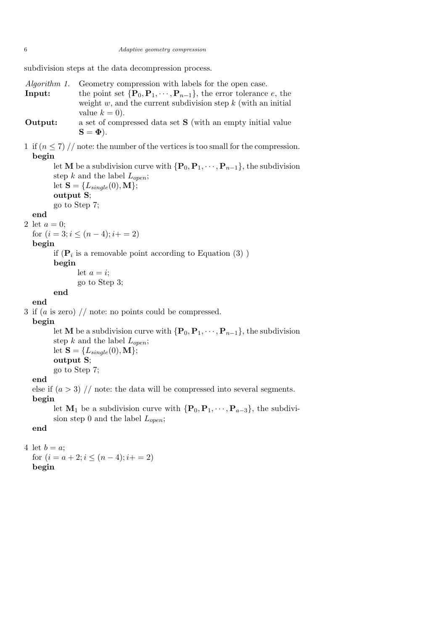subdivision steps at the data decompression process.

- Algorithm 1. Geometry compression with labels for the open case. **Input:** the point set  $\{P_0, P_1, \dots, P_{n-1}\}$ , the error tolerance e, the weight  $w$ , and the current subdivision step  $k$  (with an initial value  $k = 0$ ).
- **Output:** a set of compressed data set **S** (with an empty initial value  $S = \Phi$ ).
- 1 if  $(n \leq 7)$  // note: the number of the vertices is too small for the compression. begin

let **M** be a subdivision curve with  $\{P_0, P_1, \dots, P_{n-1}\}$ , the subdivision step k and the label  $L_{open}$ ;

let  $\mathbf{S} = \{L_{single}(0), \mathbf{M}\}\;$ output S; go to Step 7;

## end

2 let  $a = 0$ ;

for  $(i = 3; i \leq (n-4); i+=2)$ 

## begin

if  $(\mathbf{P}_i$  is a removable point according to Equation  $(3)$ )

begin

let  $a = i$ ;

go to Step 3;

#### end end

3 if  $(a \text{ is zero})$  // note: no points could be compressed.

## begin

let **M** be a subdivision curve with  $\{P_0, P_1, \dots, P_{n-1}\}$ , the subdivision step k and the label  $L_{open}$ ; let  $\mathbf{S} = \{L_{single}(0), \mathbf{M}\};$ output S; go to Step 7;

## end

else if  $(a > 3)$  // note: the data will be compressed into several segments.

## begin

let  $M_1$  be a subdivision curve with  $\{P_0, P_1, \dots, P_{a-3}\}\)$ , the subdivision step 0 and the label  $L_{open}$ ;

## end

## 4 let  $b = a$ ;

for  $(i = a + 2; i \leq (n - 4); i + = 2)$ begin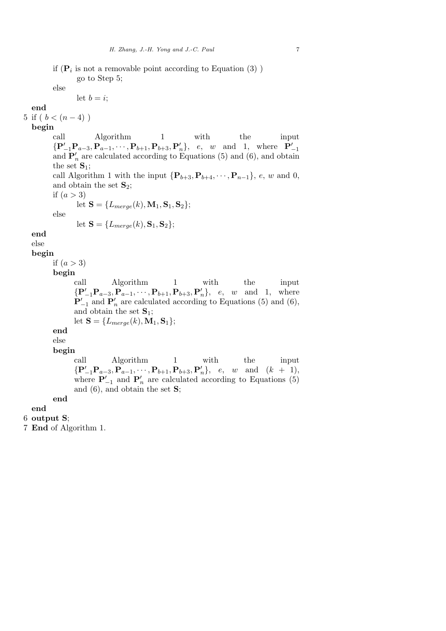if  $(\mathbf{P}_i$  is not a removable point according to Equation (3)) go to Step 5; else let  $b = i$ ; end 5 if (  $b < (n-4)$  ) begin call Algorithm 1 with the input  ${P'_{-1}P_{a-3}, P_{a-1}, \cdots, P_{b+1}, P_{b+3}, P'_n}, e, w$  and 1, where  $P'_{-1}$ and  $\mathbf{P}'_n$  are calculated according to Equations (5) and (6), and obtain the set  $S_1$ ; call Algorithm 1 with the input  $\{P_{b+3}, P_{b+4}, \cdots, P_{n-1}\}, e, w$  and 0, and obtain the set  $S_2$ ; if  $(a > 3)$ let  $S = \{L_{merge}(k), M_1, S_1, S_2\};$ else let  $\mathbf{S} = \{L_{merge}(k), \mathbf{S}_1, \mathbf{S}_2\};$ end else begin if  $(a > 3)$ begin call Algorithm 1 with the input  $\{P'_{-1}P_{a-3}, P_{a-1}, \cdots, P_{b+1}, P_{b+3}, P'_n\}, e, w \text{ and } 1, \text{ where }$  $\mathbf{P}_{-1}'$  and  $\mathbf{P}_n'$  are calculated according to Equations (5) and (6), and obtain the set  $S_1$ ; let  $\mathbf{S} = \{L_{merge}(k), \mathbf{M}_1, \mathbf{S}_1\};$ end else begin call Algorithm 1 with the input  $\{P'_{-1}P_{a-3}, P_{a-1}, \cdots, P_{b+1}, P_{b+3}, P'_n\}, e, w$  and  $(k + 1)$ , where  $\mathbf{P}'_{-1}$  and  $\mathbf{P}'_n$  are calculated according to Equations (5) and  $(6)$ , and obtain the set  $S$ ; end end 6 output S;

7 End of Algorithm 1.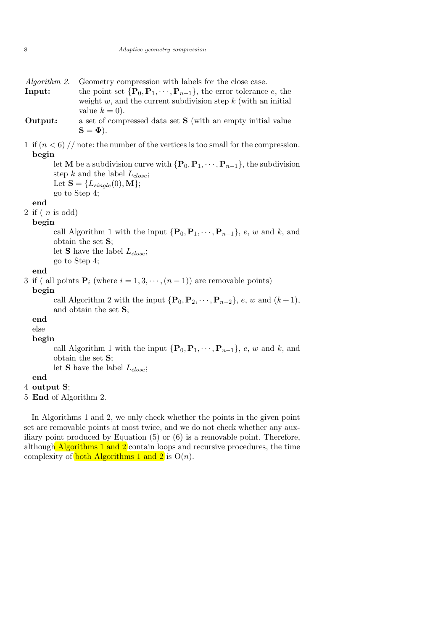- **Input:** the point set  $\{P_0, P_1, \dots, P_{n-1}\}$ , the error tolerance e, the weight  $w$ , and the current subdivision step  $k$  (with an initial value  $k = 0$ ).
- Output: a set of compressed data set S (with an empty initial value  $S = \Phi$ ).
- 1 if  $(n < 6)$  // note: the number of the vertices is too small for the compression. begin

let **M** be a subdivision curve with  $\{P_0, P_1, \dots, P_{n-1}\}$ , the subdivision step k and the label  $L_{close}$ ; Let  $\mathbf{S} = \{L_{single}(0), \mathbf{M}\};$ go to Step 4;

#### end

2 if  $(n \text{ is odd})$ 

#### begin

call Algorithm 1 with the input  $\{P_0, P_1, \dots, P_{n-1}\}, e, w$  and k, and obtain the set S;

let **S** have the label  $L_{close}$ ;

go to Step 4;

### end

3 if ( all points  $\mathbf{P}_i$  (where  $i = 1, 3, \dots, (n-1)$ ) are removable points)

#### begin

call Algorithm 2 with the input  $\{P_0, P_2, \cdots, P_{n-2}\}, e, w$  and  $(k+1),$ and obtain the set S;

## end

else

## begin

call Algorithm 1 with the input  $\{P_0, P_1, \dots, P_{n-1}\}, e, w$  and k, and obtain the set S;

let **S** have the label  $L_{close}$ ;

#### end

```
4 output S;
```
5 End of Algorithm 2.

In Algorithms 1 and 2, we only check whether the points in the given point set are removable points at most twice, and we do not check whether any auxiliary point produced by Equation  $(5)$  or  $(6)$  is a removable point. Therefore, although Algorithms 1 and  $2$  contain loops and recursive procedures, the time complexity of **both Algorithms 1 and 2** is  $O(n)$ .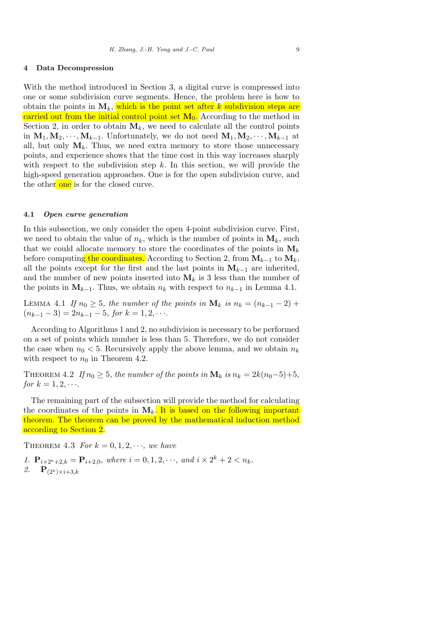#### 4 Data Decompression

With the method introduced in Section 3, a digital curve is compressed into one or some subdivision curve segments. Hence, the problem here is how to obtain the points in  $M_k$ , which is the point set after k subdivision steps are carried out from the initial control point set  $M_0$ . According to the method in Section 2, in order to obtain  $M_k$ , we need to calculate all the control points in  $M_1, M_2, \cdots, M_{k-1}$ . Unfortunately, we do not need  $M_1, M_2, \cdots, M_{k-1}$  at all, but only  $M_k$ . Thus, we need extra memory to store those unnecessary points, and experience shows that the time cost in this way increases sharply with respect to the subdivision step  $k$ . In this section, we will provide the high-speed generation approaches. One is for the open subdivision curve, and the other one is for the closed curve.

#### 4.1 Open curve generation

In this subsection, we only consider the open 4-point subdivision curve. First, we need to obtain the value of  $n_k$ , which is the number of points in  $M_k$ , such that we could allocate memory to store the coordinates of the points in  $M_k$ before computing the coordinates. According to Section 2, from  $M_{k-1}$  to  $M_k$ , all the points except for the first and the last points in  $M_{k-1}$  are inherited, and the number of new points inserted into  $M_k$  is 3 less than the number of the points in  $M_{k-1}$ . Thus, we obtain  $n_k$  with respect to  $n_{k-1}$  in Lemma 4.1.

LEMMA 4.1 If  $n_0 \geq 5$ , the number of the points in  $\mathbf{M}_k$  is  $n_k = (n_{k-1} - 2) +$  $(n_{k-1}-3)=2n_{k-1}-5$ , for  $k=1,2,\cdots$ .

According to Algorithms 1 and 2, no subdivision is necessary to be performed on a set of points which number is less than 5. Therefore, we do not consider the case when  $n_0 < 5$ . Recursively apply the above lemma, and we obtain  $n_k$ with respect to  $n_0$  in Theorem 4.2.

THEOREM 4.2 If  $n_0 \geq 5$ , the number of the points in  $\mathbf{M}_k$  is  $n_k = 2k(n_0-5)+5$ , for  $k = 1, 2, \cdots$ .

The remaining part of the subsection will provide the method for calculating the coordinates of the points in  $M_k$ . It is based on the following important theorem. The theorem can be proved by the mathematical induction method according to Section 2.

THEOREM 4.3 For  $k = 0, 1, 2, \dots$ , we have

1.  $\mathbf{P}_{i \times 2^k+2,k} = \mathbf{P}_{i+2,0}, \text{ where } i = 0, 1, 2, \cdots, \text{ and } i \times 2^k+2 < n_k.$ 2.  ${\bf P}_{(2^k)\times i+3,k}$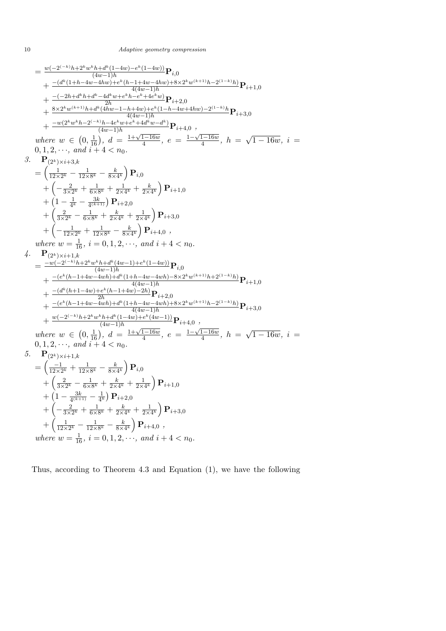$$
=\frac{w(-2^{(-k)}h+2^kw^kh+d^k(1-4w)-e^k(1-4w))}{(4w-1)h}\mathbf{P}_{i,0} +\frac{-(d^k(1+h-4w-4hw)+e^k(h-1+4w-4hw)+8\times2^kw^{(k+1)}h-2^{(1-k)}h)}{4(4w-1)h}\mathbf{P}_{i+1,0} +\frac{(-2h+d^kh+d^k-dd^kw+e^kh-e^k+4e^kw)}{2h}\mathbf{P}_{i+2,0} +\frac{8\times2^kw^{(k+1)}h+d^k(4hw-1-h+4w)+e^k(1-h-4w+4hw)-2^{(1-k)}h}{4(4w-1)h}\mathbf{P}_{i+3,0} +\frac{-w(2^kw^kh-2^{(-k)}h-4e^kw+e^k+4d^kw-d^k)}{(4w-1)h}\mathbf{P}_{i+4,0} , \qquad where \ w \in (0, \frac{1}{16}), \ d=\frac{1+\sqrt{1-16w}}{4}, \ e=\frac{1-\sqrt{1-16w}}{4}, \ h=\sqrt{1-16w}, \ i=
$$

 $0, 1, 2, \cdots$ , and  $i + 4 < n_0$ .

3. 
$$
\mathbf{P}_{(2^k)\times i+3,k} = \left(\frac{1}{12\times2^k} - \frac{1}{12\times8^k} - \frac{k}{8\times4^k}\right) \mathbf{P}_{i,0} + \left(-\frac{2}{3\times2^k} + \frac{1}{6\times8^k} + \frac{1}{2\times4^k} + \frac{k}{2\times4^k}\right) \mathbf{P}_{i+1,0} + \left(1 - \frac{1}{4^k} - \frac{3k}{4^{(k+1)}}\right) \mathbf{P}_{i+2,0} + \left(\frac{2}{3\times2^k} - \frac{1}{6\times8^k} + \frac{k}{2\times4^k} + \frac{1}{2\times4^k}\right) \mathbf{P}_{i+3,0} + \left(-\frac{1}{12\times2^k} + \frac{1}{12\times8^k} - \frac{k}{8\times4^k}\right) \mathbf{P}_{i+4,0} ,
$$
  
where  $w = \frac{1}{16}, i = 0, 1, 2, \cdots, and i+4 < n_0.$ 

4.  ${\bf P}_{(2^k)\times i+1,k}$  $=\frac{-w(-2^{(-k)}h+2^kw^kh+d^k(4w-1)+e^k(1-4w))}{(4w-1)h}$  $\frac{f^{(n)}(4w-1)+e^{n}(1-4w))}{(4w-1)h}$   ${\bf P}_{i,0}$  $+\frac{-(e^k(h-1+4w-4wh)+d^k(1+h-4w-4wh)-8\times2^k w^{(k+1)}h+2^{(1-k)}h)}{4(4w-1)h}\mathbf{P}_{i+1,0}$  $+\frac{-(d^{k}(h+1-4w)+e^{k}(h-1+4w)-2h)}{2h} {\bf P}_{i+2,0}$  $+\frac{-(e^k(h-1+4w-4wh)+d^k(1+h-4w-4wh)+8\times2^k w^{(k+1)}h-2^{(1-k)}h)}{4(4w-1)h}P_{i+3,0}$  $+\frac{w(-2^{(-k)}h+2^kw^kh+d^k(1-4w)+e^k(4w-1))}{(4w-1)h}$ **P**<sub>i+4,0</sub>, where  $w \in$ ¡  $(4w-1)h$ <br>0,  $\frac{1}{16}$ ,  $d = \frac{1+\sqrt{1-16w}}{4}$  $\frac{1-16w}{4}$ ,  $e = \frac{1-\sqrt{1-16w}}{4}$  $\frac{1-16w}{4}$ ,  $h =$ √  $\sqrt{1-16w}, i =$  $0, 1, 2, \cdots$ , and  $i + 4 < n_0$ .

5. 
$$
\mathbf{P}_{(2^k)\times i+1,k} = \left(\frac{-1}{12\times2^k} + \frac{1}{12\times8^k} - \frac{k}{8\times4^k}\right)\mathbf{P}_{i,0} + \left(\frac{2}{3\times2^k} - \frac{1}{6\times8^k} + \frac{k}{2\times4^k} + \frac{1}{2\times4^k}\right)\mathbf{P}_{i+1,0} + \left(1 - \frac{3k}{4^{(k+1)}} - \frac{1}{4^k}\right)\mathbf{P}_{i+2,0} + \left(-\frac{2}{3\times2^k} + \frac{1}{6\times8^k} + \frac{k}{2\times4^k} + \frac{1}{2\times4^k}\right)\mathbf{P}_{i+3,0} + \left(\frac{1}{12\times2^k} - \frac{1}{12\times8^k} - \frac{k}{8\times4^k}\right)\mathbf{P}_{i+4,0},
$$
\nwhere  $w = \frac{1}{16}$ ,  $i = 0, 1, 2, \dots$ , and  $i + 4 < n_0$ .

Thus, according to Theorem 4.3 and Equation (1), we have the following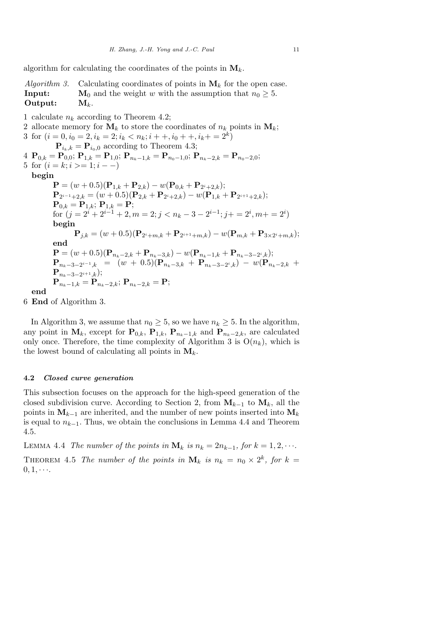algorithm for calculating the coordinates of the points in  $\mathbf{M}_k$ .

Algorithm 3. Calculating coordinates of points in  $\mathbf{M}_k$  for the open case. **Input:**  $M_0$  and the weight w with the assumption that  $n_0 \geq 5$ . Output:  $M_k$ .

1 calculate  $n_k$  according to Theorem 4.2;

2 allocate memory for  $M_k$  to store the coordinates of  $n_k$  points in  $M_k$ ; 3 for  $(i = 0, i_0 = 2, i_k = 2; i_k < n_k; i + +, i_0 + +, i_k + = 2^k)$  $\mathbf{P}_{i_k,k} = \mathbf{P}_{i_0,0}$  according to Theorem 4.3; 4  $\mathbf{P}_{0,k} = \mathbf{P}_{0,0}$ ;  $\mathbf{P}_{1,k} = \mathbf{P}_{1,0}$ ;  $\mathbf{P}_{n_k-1,k} = \mathbf{P}_{n_0-1,0}$ ;  $\mathbf{P}_{n_k-2,k} = \mathbf{P}_{n_0-2,0}$ ; 5 for  $(i = k; i > = 1; i - -)$ begin  ${\bf P} = (w+0.5)({\bf P}_{1,k}+{\bf P}_{2,k}) - w({\bf P}_{0,k}+{\bf P}_{2^i+2,k});$  $\mathbf{P}_{2^{i-1}+2,k}=(w+0.5)(\mathbf{P}_{2,k}+\mathbf{P}_{2^{i}+2,k})-w(\mathbf{P}_{1,k}+\mathbf{P}_{2^{i+1}+2,k});$  ${\bf P}_{0,k} = {\bf P}_{1,k}; \, {\bf P}_{1,k} = {\bf P};$ for  $(j = 2^{i} + 2^{i-1} + 2, m = 2; j < n_k - 3 - 2^{i-1}; j + = 2^{i}, m + = 2^{i})$ begin  ${\bf P}_{j,k} = (w+0.5) ({\bf P}_{2^i+m,k} + {\bf P}_{2^{i+1}+m,k}) - w ({\bf P}_{m,k} + {\bf P}_{3\times 2^i+m,k});$ end  ${\bf P} = (w+0.5)({\bf P}_{n_k-2,k}+{\bf P}_{n_k-3,k}) - w({\bf P}_{n_k-1,k}+{\bf P}_{n_k-3-2^i,k});$  ${\bf P}_{n_k-3-2^{i-1},k}$  =  $(w + 0.5)({\bf P}_{n_k-3,k} + {\bf P}_{n_k-3-2^{i},k}) - w({\bf P}_{n_k-2,k} +$  $\mathbf{P}_{n_k-3-2^{i+1},k});$  ${\bf P}_{n_k-1,k}={\bf P}_{n_k-2,k};$   ${\bf P}_{n_k-2,k}={\bf P};$ end

6 End of Algorithm 3.

In Algorithm 3, we assume that  $n_0 \geq 5$ , so we have  $n_k \geq 5$ . In the algorithm, any point in  $\mathbf{M}_k$ , except for  $\mathbf{P}_{0,k}$ ,  $\mathbf{P}_{1,k}$ ,  $\mathbf{P}_{n_k-1,k}$  and  $\mathbf{P}_{n_k-2,k}$ , are calculated only once. Therefore, the time complexity of Algorithm 3 is  $O(n_k)$ , which is the lowest bound of calculating all points in  $M_k$ .

#### 4.2 Closed curve generation

 $0, 1, \cdots$ 

This subsection focuses on the approach for the high-speed generation of the closed subdivision curve. According to Section 2, from  $M_{k-1}$  to  $M_k$ , all the points in  $M_{k-1}$  are inherited, and the number of new points inserted into  $M_k$ is equal to  $n_{k-1}$ . Thus, we obtain the conclusions in Lemma 4.4 and Theorem 4.5.

LEMMA 4.4 The number of the points in  $\mathbf{M}_k$  is  $n_k = 2n_{k-1}$ , for  $k = 1, 2, \cdots$ . THEOREM 4.5 The number of the points in  $\mathbf{M}_k$  is  $n_k = n_0 \times 2^k$ , for  $k =$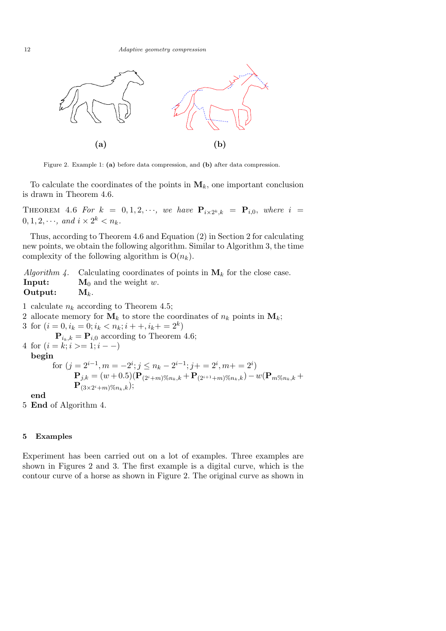

Figure 2. Example 1: (a) before data compression, and (b) after data compression.

To calculate the coordinates of the points in  $M_k$ , one important conclusion is drawn in Theorem 4.6.

THEOREM 4.6 For  $k = 0, 1, 2, \cdots$ , we have  $\mathbf{P}_{i \times 2^k, k} = \mathbf{P}_{i,0}$ , where  $i =$  $0, 1, 2, \cdots$ , and  $i \times 2^k < n_k$ .

Thus, according to Theorem 4.6 and Equation (2) in Section 2 for calculating new points, we obtain the following algorithm. Similar to Algorithm 3, the time complexity of the following algorithm is  $O(n_k)$ .

Algorithm 4. Calculating coordinates of points in  $\mathbf{M}_k$  for the close case. **Input:**  $M_0$  and the weight w. Output:  $M_k$ .

1 calculate  $n_k$  according to Theorem 4.5;

2 allocate memory for  $M_k$  to store the coordinates of  $n_k$  points in  $M_k$ ;

3 for  $(i = 0, i_k = 0; i_k < n_k; i + \dots, i_k + i k)$ 

 $\mathbf{P}_{i_k,k} = \mathbf{P}_{i,0}$  according to Theorem 4.6; 4 for  $(i = k; i >= 1; i - -)$ 

begin

for 
$$
(j = 2^{i-1}, m = -2^i; j \le n_k - 2^{i-1}; j + = 2^i, m + = 2^i)
$$
  
\n
$$
\mathbf{P}_{j,k} = (w+0.5)(\mathbf{P}_{(2^i+m)\%n_k,k} + \mathbf{P}_{(2^{i+1}+m)\%n_k,k}) - w(\mathbf{P}_{m\%n_k,k} + \mathbf{P}_{(3\times 2^i+m)\%n_k,k});
$$

end

5 End of Algorithm 4.

#### 5 Examples

Experiment has been carried out on a lot of examples. Three examples are shown in Figures 2 and 3. The first example is a digital curve, which is the contour curve of a horse as shown in Figure 2. The original curve as shown in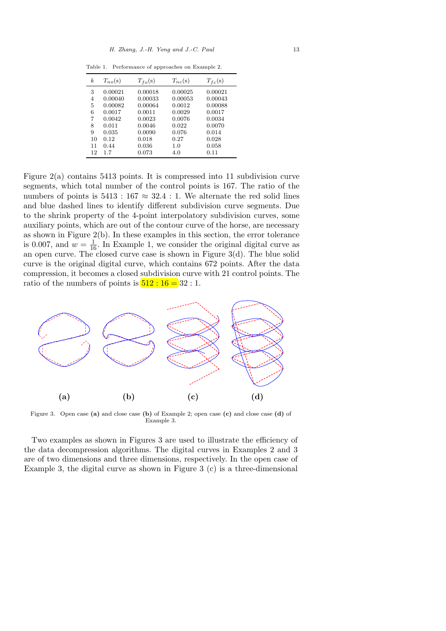Table 1. Performance of approaches on Example 2.

| k. | $T_{no}(s)$ | $T_{fo}(s)$ | $T_{nc}(s)$ | $T_{fc}(s)$ |
|----|-------------|-------------|-------------|-------------|
| 3  | 0.00021     | 0.00018     | 0.00025     | 0.00021     |
| 4  | 0.00040     | 0.00033     | 0.00053     | 0.00043     |
| 5  | 0.00082     | 0.00064     | 0.0012      | 0.00088     |
| 6  | 0.0017      | 0.0011      | 0.0029      | 0.0017      |
| 7  | 0.0042      | 0.0023      | 0.0076      | 0.0034      |
| 8  | 0.011       | 0.0046      | 0.022       | 0.0070      |
| 9  | 0.035       | 0.0090      | 0.076       | 0.014       |
| 10 | 0.12        | 0.018       | 0.27        | 0.028       |
| 11 | 0.44        | 0.036       | 1.0         | 0.058       |
| 12 | 1.7         | 0.073       | 4.0         | 0.11        |

Figure  $2(a)$  contains 5413 points. It is compressed into 11 subdivision curve segments, which total number of the control points is 167. The ratio of the numbers of points is  $5413 : 167 \approx 32.4 : 1$ . We alternate the red solid lines and blue dashed lines to identify different subdivision curve segments. Due to the shrink property of the 4-point interpolatory subdivision curves, some auxiliary points, which are out of the contour curve of the horse, are necessary as shown in Figure 2(b). In these examples in this section, the error tolerance is 0.007, and  $w = \frac{1}{16}$ . In Example 1, we consider the original digital curve as an open curve. The closed curve case is shown in Figure  $3(d)$ . The blue solid curve is the original digital curve, which contains 672 points. After the data compression, it becomes a closed subdivision curve with 21 control points. The ratio of the numbers of points is  $\boxed{512 : 16 = 32 : 1.}$ 



Figure 3. Open case (a) and close case (b) of Example 2; open case (c) and close case (d) of Example 3.

Two examples as shown in Figures 3 are used to illustrate the efficiency of the data decompression algorithms. The digital curves in Examples 2 and 3 are of two dimensions and three dimensions, respectively. In the open case of Example 3, the digital curve as shown in Figure 3 (c) is a three-dimensional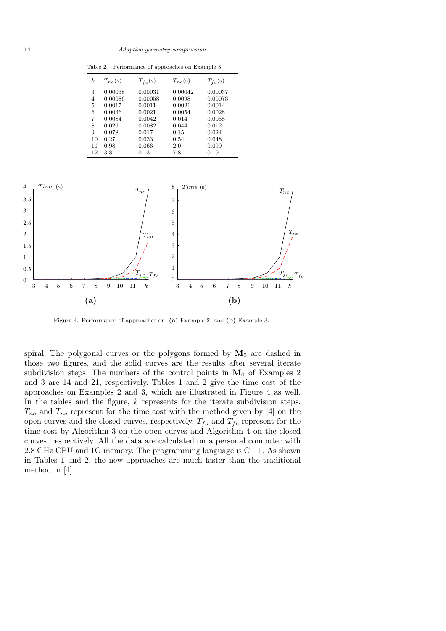Table 2. Performance of approaches on Example 3.

| k. | $T_{no}(s)$ | $T_{fo}(s)$ | $T_{nc}(s)$ | $T_{fc}(s)$ |
|----|-------------|-------------|-------------|-------------|
| 3  | 0.00038     | 0.00031     | 0.00042     | 0.00037     |
| 4  | 0.00086     | 0.00058     | 0.0098      | 0.00073     |
| 5  | 0.0017      | 0.0011      | 0.0021      | 0.0014      |
| 6  | 0.0036      | 0.0021      | 0.0054      | 0.0028      |
| 7  | 0.0084      | 0.0042      | 0.014       | 0.0058      |
| 8  | 0.026       | 0.0082      | 0.044       | 0.012       |
| 9  | 0.078       | 0.017       | 0.15        | 0.024       |
| 10 | 0.27        | 0.033       | 0.54        | 0.048       |
| 11 | 0.98        | 0.066       | 2.0         | 0.099       |
| 12 | 3.8         | 0.13        | 7.8         | 0.19        |



Figure 4. Performance of approaches on: (a) Example 2, and (b) Example 3.

spiral. The polygonal curves or the polygons formed by  $M_0$  are dashed in those two figures, and the solid curves are the results after several iterate subdivision steps. The numbers of the control points in  $M_0$  of Examples 2 and 3 are 14 and 21, respectively. Tables 1 and 2 give the time cost of the approaches on Examples 2 and 3, which are illustrated in Figure 4 as well. In the tables and the figure,  $k$  represents for the iterate subdivision steps.  $T_{no}$  and  $T_{nc}$  represent for the time cost with the method given by [4] on the open curves and the closed curves, respectively.  $T_{fo}$  and  $T_{fc}$  represent for the time cost by Algorithm 3 on the open curves and Algorithm 4 on the closed curves, respectively. All the data are calculated on a personal computer with 2.8 GHz CPU and 1G memory. The programming language is C++. As shown in Tables 1 and 2, the new approaches are much faster than the traditional method in [4].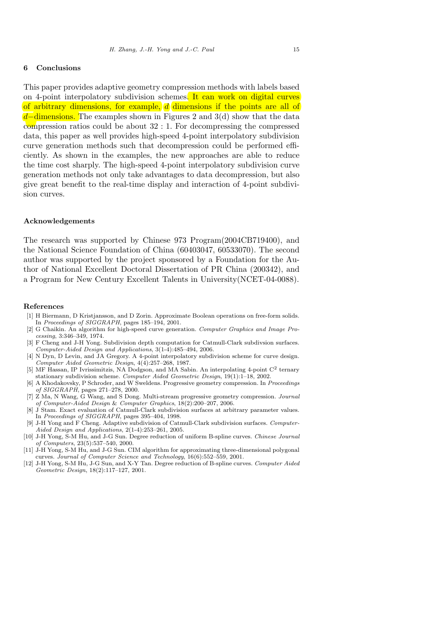#### 6 Conclusions

This paper provides adaptive geometry compression methods with labels based on 4-point interpolatory subdivision schemes. It can work on digital curves of arbitrary dimensions, for example, d dimensions if the points are all of  $d$ –dimensions. The examples shown in Figures 2 and 3(d) show that the data compression ratios could be about 32 : 1. For decompressing the compressed data, this paper as well provides high-speed 4-point interpolatory subdivision curve generation methods such that decompression could be performed efficiently. As shown in the examples, the new approaches are able to reduce the time cost sharply. The high-speed 4-point interpolatory subdivision curve generation methods not only take advantages to data decompression, but also give great benefit to the real-time display and interaction of 4-point subdivision curves.

#### Acknowledgements

The research was supported by Chinese 973 Program(2004CB719400), and the National Science Foundation of China (60403047, 60533070). The second author was supported by the project sponsored by a Foundation for the Author of National Excellent Doctoral Dissertation of PR China (200342), and a Program for New Century Excellent Talents in University(NCET-04-0088).

#### References

- [1] H Biermann, D Kristjansson, and D Zorin. Approximate Boolean operations on free-form solids. In Proceedings of SIGGRAPH, pages 185–194, 2001.
- [2] G Chaikin. An algorithm for high-speed curve generation. Computer Graphics and Image Processing, 3:346–349, 1974.
- [3] F Cheng and J-H Yong. Subdivision depth computation for Catmull-Clark subdivsion surfaces. Computer-Aided Design and Applications, 3(1-4):485–494, 2006.
- [4] N Dyn, D Levin, and JA Gregory. A 4-point interpolatory subdivision scheme for curve design. Computer Aided Geometric Design, 4(4):257–268, 1987.
- [5] MF Hassan, IP Ivrissimitzis, NA Dodgson, and MA Sabin. An interpolating 4-point C<sup>2</sup> ternary stationary subdivision scheme. Computer Aided Geometric Design, 19(1):1–18, 2002.
- [6] A Khodakovsky, P Schroder, and W Sweldens. Progressive geometry compression. In Proceedings of SIGGRAPH, pages 271–278, 2000.
- [7] Z Ma, N Wang, G Wang, and S Dong. Multi-stream progressive geometry compression. Journal of Computer-Aided Design & Computer Graphics, 18(2):200–207, 2006.
- [8] J Stam. Exact evaluation of Catmull-Clark subdivision surfaces at arbitrary parameter values. In Proceedings of SIGGRAPH, pages 395–404, 1998.
- [9] J-H Yong and F Cheng. Adaptive subdivision of Catmull-Clark subdivision surfaces. Computer-Aided Design and Applications, 2(1-4):253–261, 2005.
- [10] J-H Yong, S-M Hu, and J-G Sun. Degree reduction of uniform B-spline curves. Chinese Journal of Computers, 23(5):537–540, 2000.
- [11] J-H Yong, S-M Hu, and J-G Sun. CIM algorithm for approximating three-dimensional polygonal curves. Journal of Computer Science and Technology, 16(6):552–559, 2001.
- [12] J-H Yong, S-M Hu, J-G Sun, and X-Y Tan. Degree reduction of B-spline curves. Computer Aided Geometric Design, 18(2):117–127, 2001.